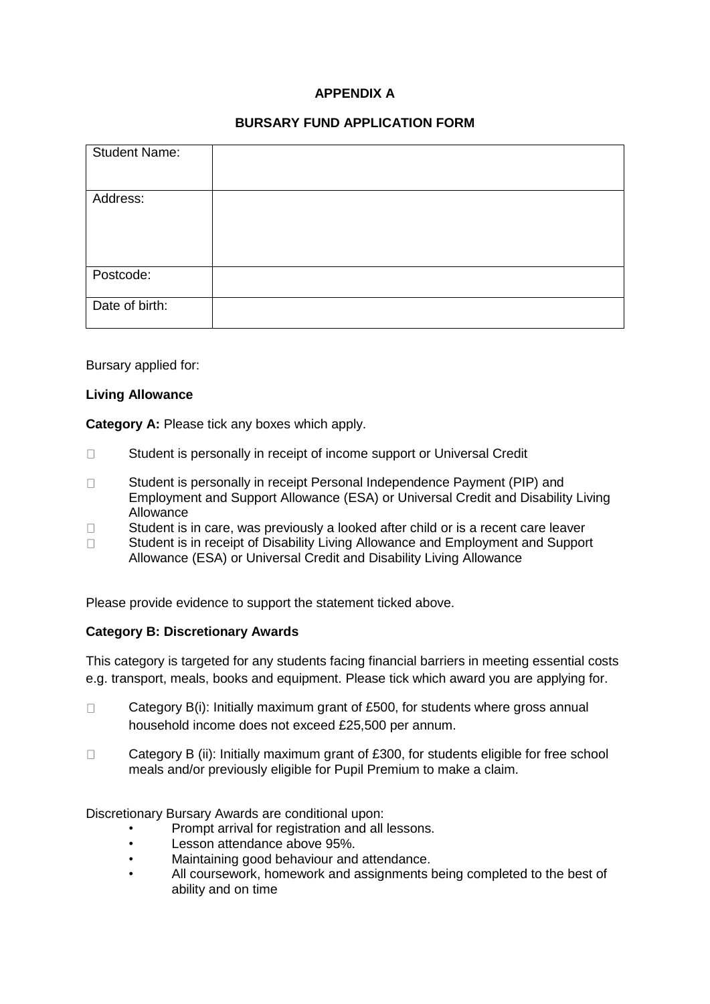# **APPENDIX A**

## **BURSARY FUND APPLICATION FORM**

| <b>Student Name:</b> |  |
|----------------------|--|
| Address:             |  |
| Postcode:            |  |
| Date of birth:       |  |

Bursary applied for:

### **Living Allowance**

**Category A:** Please tick any boxes which apply.

- $\Box$ Student is personally in receipt of income support or Universal Credit
- Student is personally in receipt Personal Independence Payment (PIP) and  $\Box$ Employment and Support Allowance (ESA) or Universal Credit and Disability Living Allowance
- $\Box$ Student is in care, was previously a looked after child or is a recent care leaver
- Student is in receipt of Disability Living Allowance and Employment and Support  $\Box$ Allowance (ESA) or Universal Credit and Disability Living Allowance

Please provide evidence to support the statement ticked above.

## **Category B: Discretionary Awards**

This category is targeted for any students facing financial barriers in meeting essential costs e.g. transport, meals, books and equipment. Please tick which award you are applying for.

- $\Box$ Category B(i): Initially maximum grant of £500, for students where gross annual household income does not exceed £25,500 per annum.
- $\Box$ Category B (ii): Initially maximum grant of £300, for students eligible for free school meals and/or previously eligible for Pupil Premium to make a claim.

Discretionary Bursary Awards are conditional upon:

- Prompt arrival for registration and all lessons.
- Lesson attendance above 95%.
- Maintaining good behaviour and attendance.
- All coursework, homework and assignments being completed to the best of ability and on time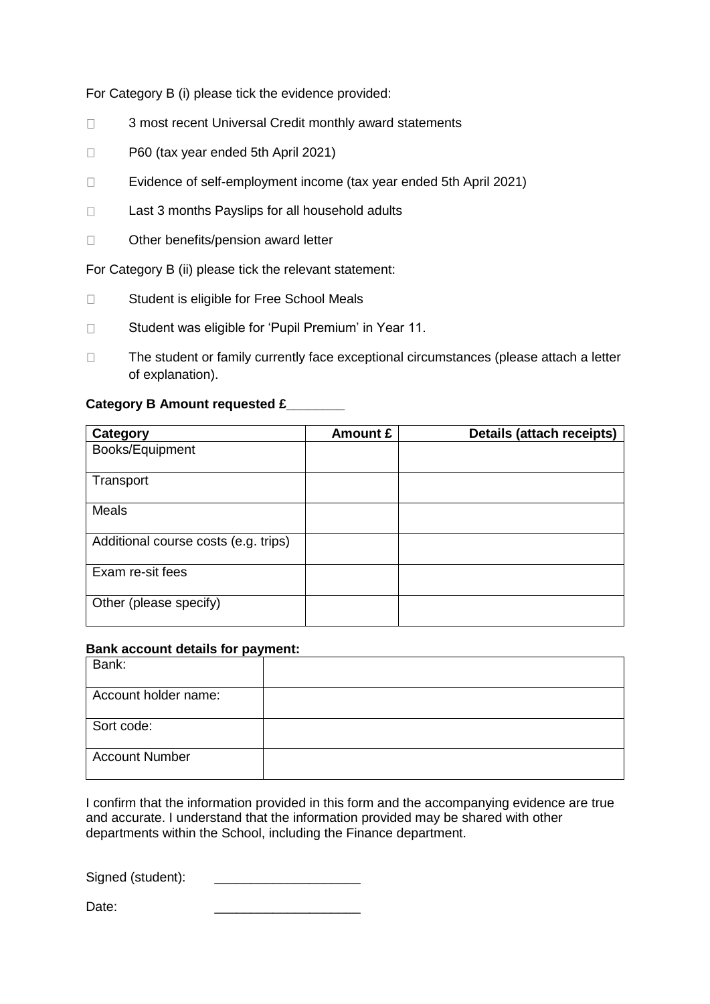For Category B (i) please tick the evidence provided:

- $\Box$ 3 most recent Universal Credit monthly award statements
- $\Box$ P60 (tax year ended 5th April 2021)
- $\Box$ Evidence of self-employment income (tax year ended 5th April 2021)
- $\Box$ Last 3 months Payslips for all household adults
- $\Box$ Other benefits/pension award letter

For Category B (ii) please tick the relevant statement:

- $\Box$ Student is eligible for Free School Meals
- Student was eligible for 'Pupil Premium' in Year 11.  $\Box$
- $\Box$ The student or family currently face exceptional circumstances (please attach a letter of explanation).

#### **Category B Amount requested £\_\_\_\_\_\_\_\_**

| Category                             | Amount £ | Details (attach receipts) |
|--------------------------------------|----------|---------------------------|
| Books/Equipment                      |          |                           |
| Transport                            |          |                           |
| <b>Meals</b>                         |          |                           |
| Additional course costs (e.g. trips) |          |                           |
| Exam re-sit fees                     |          |                           |
| Other (please specify)               |          |                           |

#### **Bank account details for payment:**

| Bank:                 |  |
|-----------------------|--|
| Account holder name:  |  |
| Sort code:            |  |
| <b>Account Number</b> |  |

I confirm that the information provided in this form and the accompanying evidence are true and accurate. I understand that the information provided may be shared with other departments within the School, including the Finance department.

Signed (student):

Date: \_\_\_\_\_\_\_\_\_\_\_\_\_\_\_\_\_\_\_\_